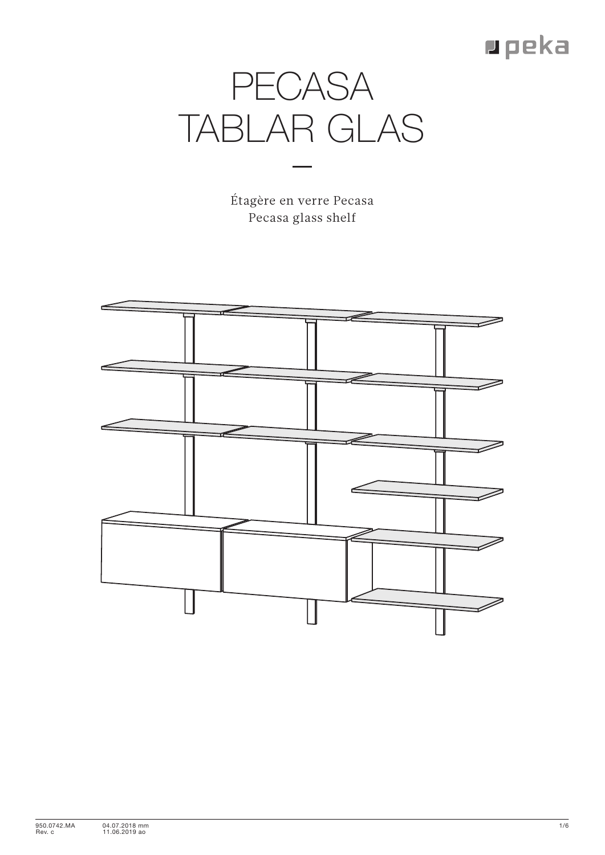## $\blacksquare$  peka



Étagère en verre Pecasa Pecasa glass shelf

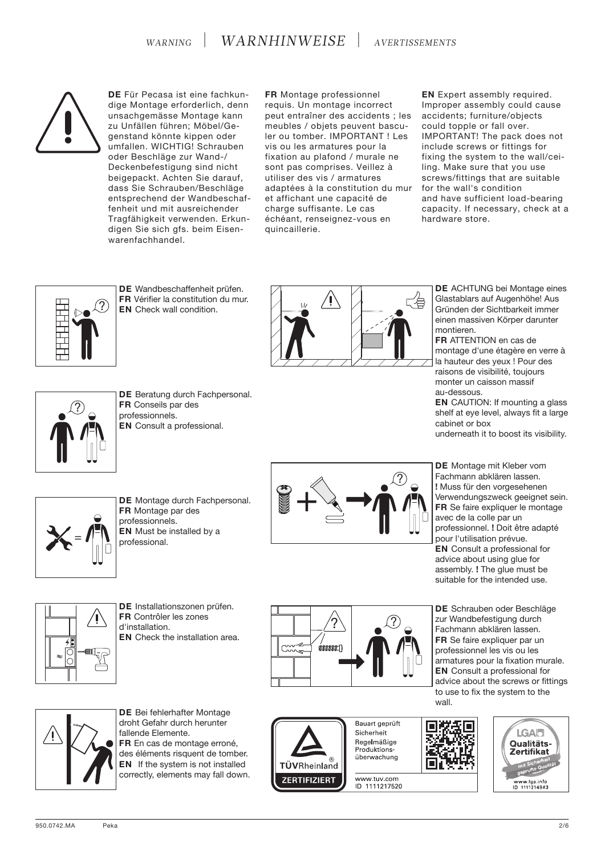

**DE** Für Pecasa ist eine fachkundige Montage erforderlich, denn unsachgemässe Montage kann zu Unfällen führen; Möbel/Gegenstand könnte kippen oder umfallen. WICHTIG! Schrauben oder Beschläge zur Wand-/ Deckenbefestigung sind nicht beigepackt. Achten Sie darauf, dass Sie Schrauben/Beschläge entsprechend der Wandbeschaffenheit und mit ausreichender Tragfähigkeit verwenden. Erkundigen Sie sich gfs. beim Eisenwarenfachhandel.

**FR** Montage professionnel requis. Un montage incorrect peut entraîner des accidents ; les meubles / objets peuvent basculer ou tomber. IMPORTANT ! Les vis ou les armatures pour la fixation au plafond / murale ne sont pas comprises. Veillez à utiliser des vis / armatures adaptées à la constitution du mur et affichant une capacité de charge suffisante. Le cas échéant, renseignez-vous en quincaillerie.

**EN** Expert assembly required. Improper assembly could cause accidents; furniture/objects could topple or fall over. IMPORTANT! The pack does not include screws or fittings for fixing the system to the wall/ceiling. Make sure that you use screws/fittings that are suitable for the wall's condition and have sufficient load-bearing capacity. If necessary, check at a hardware store.



?

**DE** Wandbeschaffenheit prüfen. **FR** Vérifier la constitution du mur. **EN** Check wall condition.

**DE** Beratung durch Fachpersonal.

**FR** Conseils par des professionnels.

**EN** Consult a professional.



**DE** ACHTUNG bei Montage eines Glastablars auf Augenhöhe! Aus Gründen der Sichtbarkeit immer einen massiven Körper darunter montieren.

**FR** ATTENTION en cas de montage d'une étagère en verre à la hauteur des yeux ! Pour des raisons de visibilité, toujours monter un caisson massif au-dessous.

**EN** CAUTION: If mounting a glass shelf at eye level, always fit a large cabinet or box underneath it to boost its visibility.



**DE** Montage durch Fachpersonal.



**DE** Montage mit Kleber vom Fachmann abklären lassen. **!** Muss für den vorgesehenen Verwendungszweck geeignet sein. **FR** Se faire expliquer le montage avec de la colle par un professionnel. **!** Doit être adapté pour l'utilisation prévue. **EN** Consult a professional for advice about using glue for assembly. **!** The glue must be suitable for the intended use.



**DE** Installationszonen prüfen. **FR** Contrôler les zones d'installation. **EN** Check the installation area.



**ZERTIFIZIERT** 

**DE** Schrauben oder Beschläge zur Wandbefestigung durch Fachmann abklären lassen. **FR** Se faire expliquer par un professionnel les vis ou les armatures pour la fixation murale. **EN** Consult a professional for advice about the screws or fittings to use to fix the system to the



**DE** Bei fehlerhafter Montage droht Gefahr durch herunter fallende Elemente. **FR** En cas de montage erroné, des éléments risquent de tomber. **EN** If the system is not installed correctly, elements may fall down.



www.tuv.com ID 1111217520



**FR** Montage par des professionnels. **EN** Must be installed by a professional.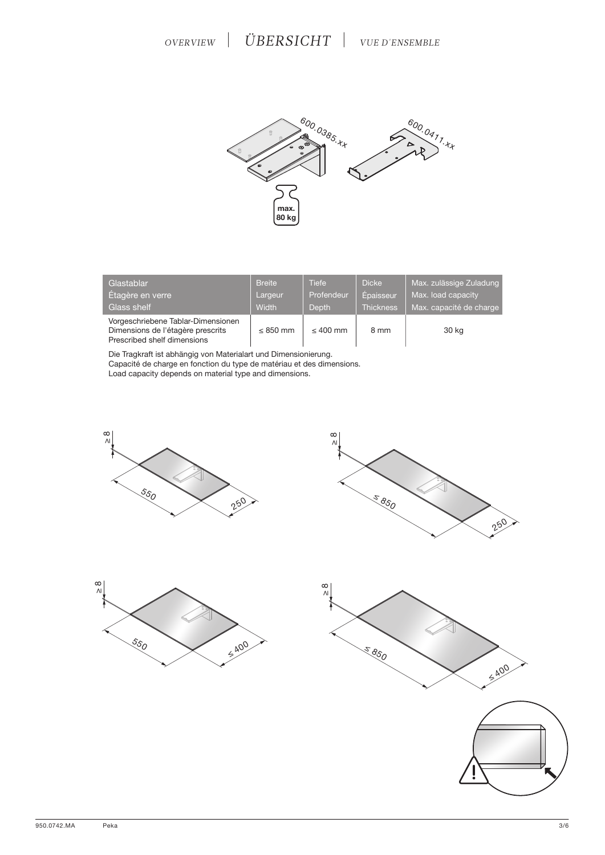

| Glastablar                                                                                             | <b>Breite</b> | Tiefe         | <b>Dicke</b>     | Max. zulässige Zuladung |
|--------------------------------------------------------------------------------------------------------|---------------|---------------|------------------|-------------------------|
| Étagère en verre                                                                                       | Largeur       | Profendeur    | Épaisseur        | Max. load capacity      |
| Glass shelf                                                                                            | <b>Width</b>  | <b>Depth</b>  | <b>Thickness</b> | Max. capacité de charge |
| Vorgeschriebene Tablar-Dimensionen<br>Dimensions de l'étagère prescrits<br>Prescribed shelf dimensions | $\leq$ 850 mm | $\leq 400$ mm | 8 mm             | 30 kg                   |

Die Tragkraft ist abhängig von Materialart und Dimensionierung.

Capacité de charge en fonction du type de matériau et des dimensions.

Load capacity depends on material type and dimensions.









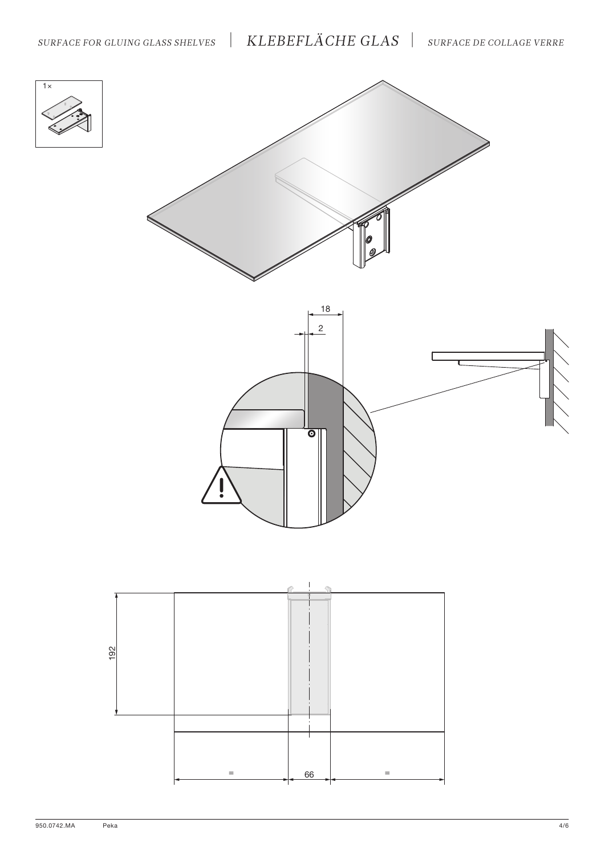







Peka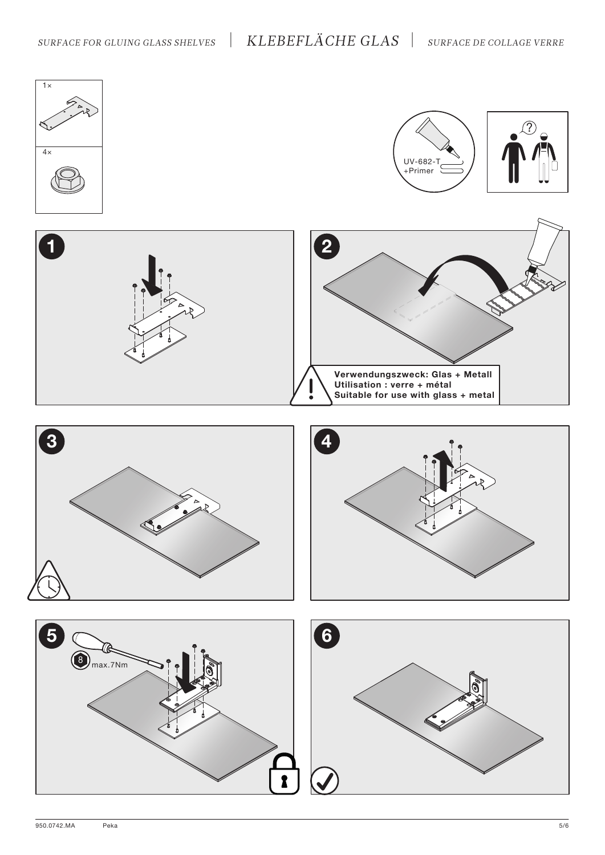## *SURFACE FOR GLUING GLASS SHELVES* | *KLEBEFLÄCHE GLAS* | *SURFACE DE COLLAGE VERRE*